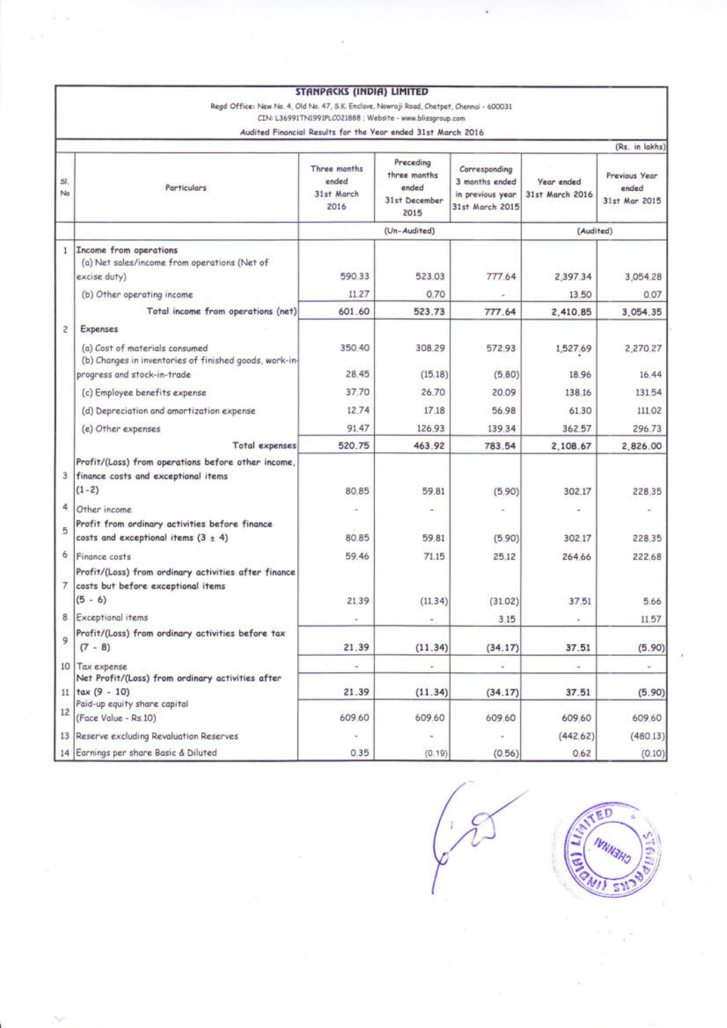|              |                                                                                                          | <b>STANPACKS (INDIA) LIMITED</b>                             |                                                             |                                                                        |                               |                                         |
|--------------|----------------------------------------------------------------------------------------------------------|--------------------------------------------------------------|-------------------------------------------------------------|------------------------------------------------------------------------|-------------------------------|-----------------------------------------|
|              | Regd Office: New No. 4, Old No. 47, S.K. Enclave, Nowroji Road, Chetpet, Chennai - 600031                | CIN: L36991TN1991PLC021888 ; Website - www.blissgroup.com    |                                                             |                                                                        |                               |                                         |
|              |                                                                                                          | Audited Financial Results for the Year ended 31st March 2016 |                                                             |                                                                        |                               |                                         |
|              |                                                                                                          |                                                              |                                                             |                                                                        |                               | (Rs. in lakhs)                          |
| SI.<br>No    | Particulars                                                                                              | Three months<br>ended<br>31st March<br>2016                  | Preceding<br>three months<br>ended<br>31st December<br>2015 | Corresponding<br>3 months ended<br>in previous year<br>31st March 2015 | Year ended<br>31st March 2016 | Previous Year<br>ended<br>31st Mar 2015 |
|              |                                                                                                          | (Un-Audited)                                                 |                                                             | (Audited)                                                              |                               |                                         |
| $\mathbf{I}$ | Income from operations<br>(a) Net sales/income from operations (Net of<br>excise duty)                   | 590.33                                                       | 523.03                                                      | 777.64                                                                 | 2,397.34                      | 3,054.28                                |
|              | (b) Other operating income                                                                               | 11.27                                                        | 0.70                                                        |                                                                        | 13.50                         | 0.07                                    |
|              | Total income from operations (net)                                                                       | 601.60                                                       | 523.73                                                      | 777.64                                                                 | 2,410.85                      | 3,054.35                                |
| $\tilde{c}$  | <b>Expenses</b>                                                                                          |                                                              |                                                             |                                                                        |                               |                                         |
|              | (a) Cost of materials consumed<br>(b) Changes in inventories of finished goods, work-in-                 | 350.40                                                       | 308.29                                                      | 572.93                                                                 | 1,527.69                      | 2,270.27                                |
|              | progress and stock-in-trade                                                                              | 28.45                                                        | (15.18)                                                     | (5.80)                                                                 | 18.96                         | 16.44                                   |
|              | (c) Employee benefits expense                                                                            | 37.70                                                        | 26.70                                                       | 20.09                                                                  | 138.16                        | 131.54                                  |
|              | (d) Depreciation and amortization expense                                                                | 12.74                                                        | 17.18                                                       | 56.98                                                                  | 61.30                         | 111.02                                  |
|              | (e) Other expenses                                                                                       | 91.47                                                        | 126.93                                                      | 139.34                                                                 | 362.57                        | 296.73                                  |
|              | Total expenses                                                                                           | 520.75                                                       | 463.92                                                      | 783.54                                                                 | 2,108.67                      | 2,826.00                                |
| 3            | Profit/(Loss) from operations before other income,<br>finance costs and exceptional items<br>$(1-2)$     | 80.85                                                        | 59.81                                                       | (5.90)                                                                 | 302.17                        | 228.35                                  |
| 4            | Other income                                                                                             |                                                              |                                                             |                                                                        |                               |                                         |
| 5            | Profit from ordinary activities before finance<br>costs and exceptional items $(3 \pm 4)$                | 80.85                                                        | 59.81                                                       | (5.90)                                                                 | 302.17                        | 228.35                                  |
| 6            | Finance costs                                                                                            | 59.46                                                        | 71.15                                                       | 25.12                                                                  | 264.66                        | 222.68                                  |
| 7.           | Profit/(Loss) from ordinary activities after finance<br>costs but before exceptional items<br>$(5 - 6)$  | 21.39                                                        | (11.34)                                                     | (31.02)                                                                | 37.51                         | 5.66                                    |
| 8            | Exceptional items                                                                                        |                                                              |                                                             | 3.15                                                                   |                               | 11.57                                   |
| 9            | Profit/(Loss) from ordinary activities before tax<br>$(7 - 8)$                                           | 21.39                                                        | (11.34)                                                     | (34.17)                                                                | 37.51                         | (5.90)                                  |
|              | 10 Tax expense                                                                                           | ÷                                                            | ÷                                                           | ÷                                                                      | $\overline{\phantom{a}}$      | $\sim$                                  |
| 11           | Net Profit/(Loss) from ordinary activities after<br>$\text{tax}(9 - 10)$<br>Paid-up equity share capital | 21.39                                                        | (11.34)                                                     | (34.17)                                                                | 37.51                         | (5.90)                                  |
| 12           | (Face Value - Rs.10)                                                                                     | 609.60                                                       | 609.60                                                      | 609.60                                                                 | 609.60                        | 609.60                                  |
|              | 13 Reserve excluding Revaluation Reserves                                                                | ÷                                                            | $\scriptstyle\star$                                         |                                                                        | (442.62)                      | (480.13)                                |
|              | 14 Earnings per share Basic & Diluted                                                                    | 0.35                                                         | (0.19)                                                      | (0.56)                                                                 | 0.62                          | (0.10)                                  |

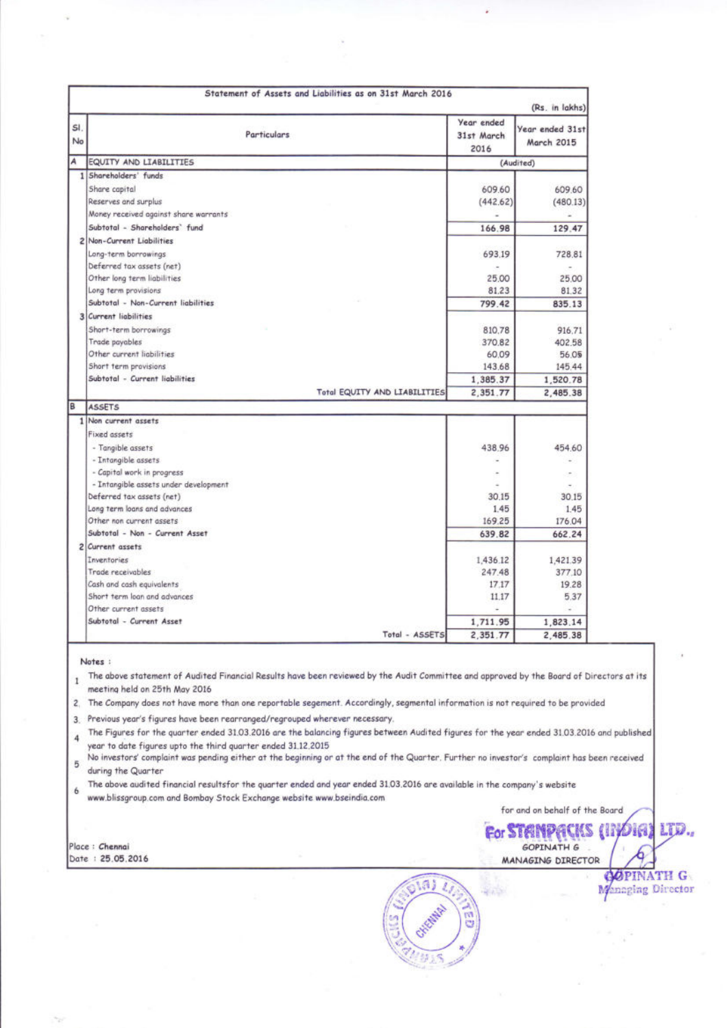| No | <b>Particulars</b>                                                 | Year ended<br>31st March<br>2016 | Year ended 31st<br>March 2015 |  |
|----|--------------------------------------------------------------------|----------------------------------|-------------------------------|--|
| A  | <b>EQUITY AND LIABILITIES</b>                                      |                                  | (Audited)                     |  |
|    | 1 Shareholders' funds                                              |                                  |                               |  |
|    | Share capital                                                      | 609.60                           | 609.60                        |  |
|    | Reserves and surplus                                               | (442.62)                         | (480.13)                      |  |
|    | Money received against share warrants                              |                                  |                               |  |
|    | Subtotal - Shareholders' fund                                      | 166.98                           | 129.47                        |  |
|    | 2 Non-Current Liabilities                                          |                                  |                               |  |
|    | Long-term borrowings                                               | 693.19                           | 728,81                        |  |
|    | Deferred tax assets (net)                                          |                                  |                               |  |
|    | Other long term liabilities                                        | 25.00                            | 25.00                         |  |
|    | Long term provisions                                               | 81.23                            | 81.32                         |  |
|    | Subtotal - Non-Current liabilities                                 | 799.42                           | 835.13                        |  |
|    | 3 Current liabilities                                              |                                  |                               |  |
|    | Short-term borrowings                                              | 810.78                           | 916.71                        |  |
|    | Trade payables                                                     | 370,82                           | 402.58                        |  |
|    | Other current liabilities                                          | 60.09                            | 56.05                         |  |
|    | Short term provisions                                              | 143.68                           | 145.44                        |  |
|    | Subtotal - Current liabilities                                     | 1,385.37                         | 1,520.78                      |  |
|    | Total EQUITY AND LIABILITIES                                       | 2,351.77                         | 2,485.38                      |  |
|    | <b>ASSETS</b>                                                      |                                  |                               |  |
|    | 1 Non current assets                                               |                                  |                               |  |
|    |                                                                    |                                  |                               |  |
|    | Fixed assets                                                       |                                  |                               |  |
|    |                                                                    |                                  |                               |  |
|    | - Tangible assets                                                  | 438.96                           | 454.60<br>÷                   |  |
|    | - Intangible assets<br>- Capital work in progress                  | ٠                                |                               |  |
|    |                                                                    |                                  |                               |  |
|    | - Intangible assets under development<br>Deferred tax assets (net) | 30.15                            | 30.15                         |  |
|    | Long term loans and advances                                       | 1.45                             | 1.45                          |  |
|    | Other non current assets                                           | 169.25                           | 176.04                        |  |
|    | Subtotal - Non - Current Asset                                     | 639.82                           | 662.24                        |  |
|    | 2 Current assets                                                   |                                  |                               |  |
|    | Inventories                                                        | 1,436.12                         | 1,421.39                      |  |
|    | Trade receivables                                                  | 247.48                           | 377.10                        |  |
|    | Cash and cash equivalents                                          | 17.17                            | 19.28                         |  |
|    | Short term loan and advances                                       | 11.17                            | 5.37                          |  |
|    | Other current assets                                               |                                  |                               |  |
|    | Subtotal - Current Asset                                           | 1,711.95                         | 1,823.14                      |  |

The above audited financial resultsfor the quarter ended and year ended 31.03.2016 are available in the company's website 6 www.blissgroup.com and Bombay Stock Exchange website www.bseindia.com

Place : Chennai Date: 25.05.2016

for and on behalf of the Board œ DIGI For STANDACKS

GOPINATH G

MANAGING DIRECTOR

SG S

(a) g ë

LD.

**OPINATH GARAGEMENT COM**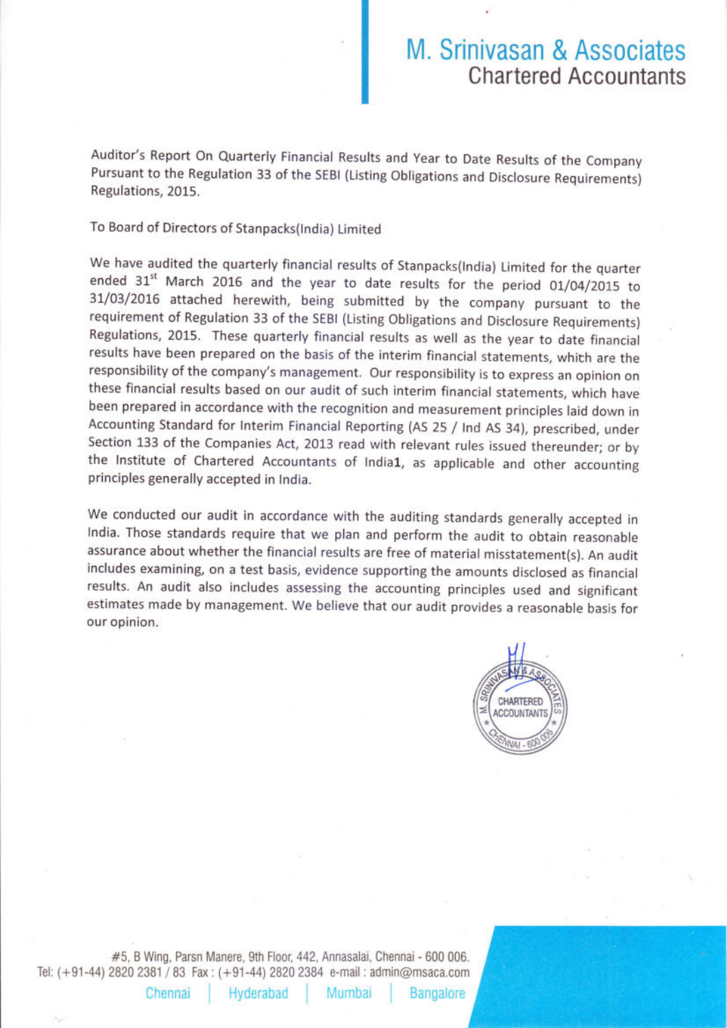## M. Srinivasan & Associates Chartered Accountants

Auditor's Report On Quarterly Financial Results and Year to Date Results of the Company Pursuant to the Regulation 33 of the SEBI (Listing Obligations and Disclosure Requirements) Regulations, 2015.

To Board of Directors of Stanpacks(lndia) Limited

We have audited the quarterly financial results of Stanpacks(lndia) Limited for the quarter ended 31<sup>st</sup> March 2016 and the year to date results for the period 01/04/2015 to 3I/03/201G attached herewith, being submitted by the company pursuant to the requirement of Regulation 33 of the SEBI (Listing Obligations and Disclosure Requirements) Regulations,2015. These quarterly financial results as well as the year to date financial results have been prepared on the basis of the interim financial statements, which are the responsibility of the company's management. Our responsibility is to express an opinion on these financial results based on our audit of such interim financial statements, which have been prepared in accordance with the recognition and measurement principles laid down in Accounting Standard for lnterim Financial Reporting (AS 25 / lnd AS 34), prescribed, under the Institute of Chartered Accountants of India1, as applicable and other accounting principles generally accepted in lndia.

We conducted our audit in accordance with the auditing standards generally accepted in lndia. Those standards require that we plan and perform the audit to obtain reasonable assurance about whether the financial results are free of material misstatement(s). An audit includes examining, on a test basis, evidence supporting the amounts disclosed as financial results. An audit also includes assessing the accounting principles used and significant estimates made by management. We believe that our audit provides a reasonable basis for our opinion.



#5, B Wing, Parsn Manere, 9th Floor, 442, Annasalai, Chennai - 600 006. Tel: (+91-44) 2820 2381 I 83 Fax : (+91-44) 2820 2384 e-mail : admin@msaca.com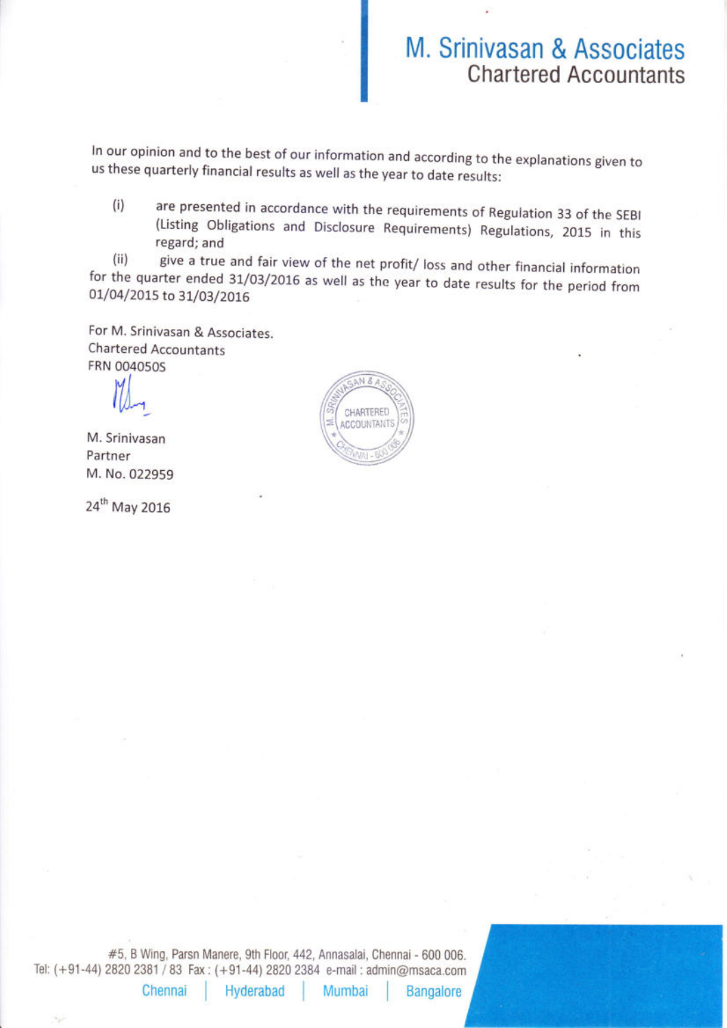## M. Srinivasan & Associates Chartered Accountants

ln our opinion and to the best of our information and according to the explanations given to us these quarterly financial results as well as the year to date results:

(i) are presented in accordance with the requirements of Regulation 33 of the sEBl (Listing obligations and Disclosure Requirements) Regulations, 2015 in this regard; and

(ii) give a true and fair view of the net profit/ loss and other financial information for the quarter ended 31/03/2016 as well as the year to date results for the period from 01/04/2015 to 31/03/2016

For M. Srinivasan & Associates. Chartered Accountants FRN OO4O5OS

17)<br>I

M. Srinivasan Partner M. No. 022959

24<sup>th</sup> May 2016



#5, B Wing, Parsn Manere, 9th Floor, 442, Annasalai, Chennai - 600 006. Tel: (+91-44) 2820 2381 / 83 Fax: (+91-44) 2820 2384 e-mail : admin@msaca.com